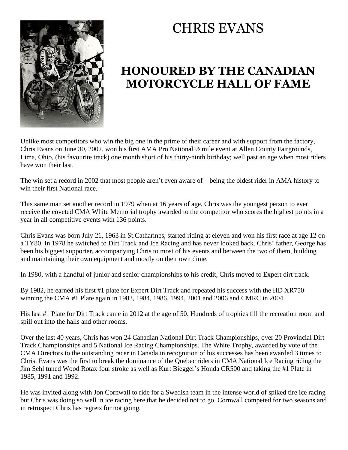

## CHRIS EVANS

## **HONOURED BY THE CANADIAN MOTORCYCLE HALL OF FAME**

Unlike most competitors who win the big one in the prime of their career and with support from the factory, Chris Evans on June 30, 2002, won his first AMA Pro National ½ mile event at Allen County Fairgrounds, Lima, Ohio, (his favourite track) one month short of his thirty-ninth birthday; well past an age when most riders have won their last.

The win set a record in 2002 that most people aren't even aware of – being the oldest rider in AMA history to win their first National race.

This same man set another record in 1979 when at 16 years of age, Chris was the youngest person to ever receive the coveted CMA White Memorial trophy awarded to the competitor who scores the highest points in a year in all competitive events with 136 points.

Chris Evans was born July 21, 1963 in St.Catharines, started riding at eleven and won his first race at age 12 on a TY80. In 1978 he switched to Dirt Track and Ice Racing and has never looked back. Chris' father, George has been his biggest supporter, accompanying Chris to most of his events and between the two of them, building and maintaining their own equipment and mostly on their own dime.

In 1980, with a handful of junior and senior championships to his credit, Chris moved to Expert dirt track.

By 1982, he earned his first #1 plate for Expert Dirt Track and repeated his success with the HD XR750 winning the CMA #1 Plate again in 1983, 1984, 1986, 1994, 2001 and 2006 and CMRC in 2004.

His last #1 Plate for Dirt Track came in 2012 at the age of 50. Hundreds of trophies fill the recreation room and spill out into the halls and other rooms.

Over the last 40 years, Chris has won 24 Canadian National Dirt Track Championships, over 20 Provincial Dirt Track Championships and 5 National Ice Racing Championships. The White Trophy, awarded by vote of the CMA Directors to the outstanding racer in Canada in recognition of his successes has been awarded 3 times to Chris. Evans was the first to break the dominance of the Quebec riders in CMA National Ice Racing riding the Jim Sehl tuned Wood Rotax four stroke as well as Kurt Biegger's Honda CR500 and taking the #1 Plate in 1985, 1991 and 1992.

He was invited along with Jon Cornwall to ride for a Swedish team in the intense world of spiked tire ice racing but Chris was doing so well in ice racing here that he decided not to go. Cornwall competed for two seasons and in retrospect Chris has regrets for not going.